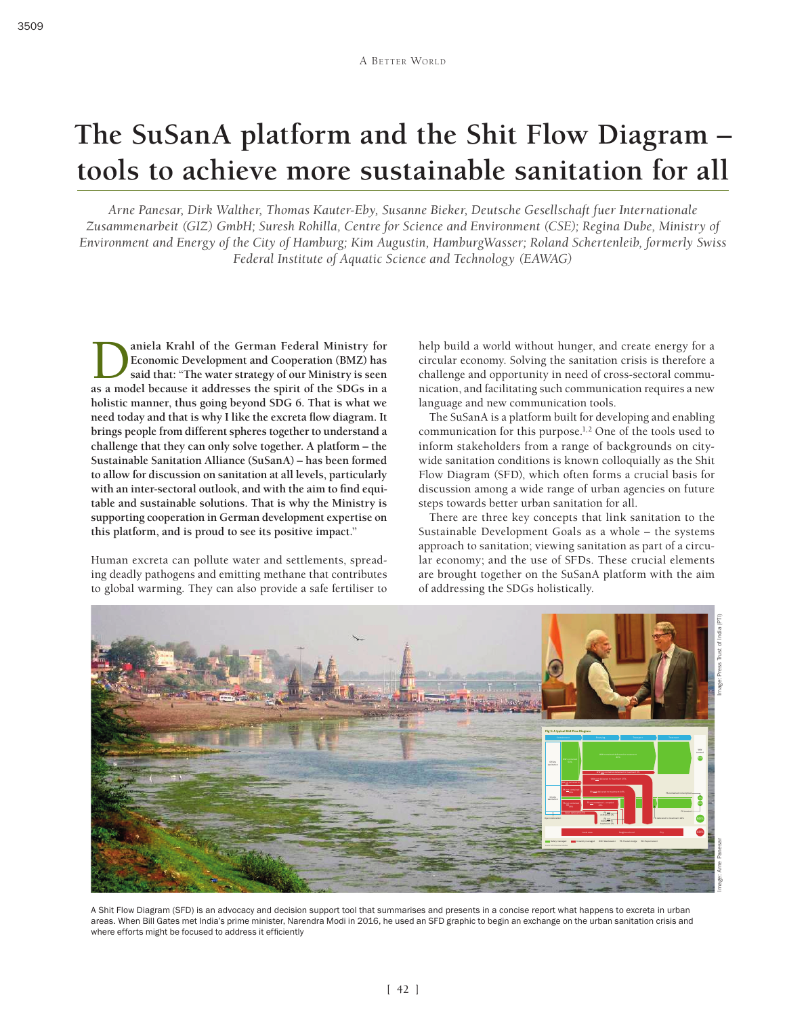# **The SuSanA platform and the Shit Flow Diagram – tools to achieve more sustainable sanitation for all**

*Arne Panesar, Dirk Walther, Thomas Kauter-Eby, Susanne Bieker, Deutsche Gesellschaft fuer Internationale Zusammenarbeit (GIZ) GmbH; Suresh Rohilla, Centre for Science and Environment (CSE); Regina Dube, Ministry of Environment and Energy of the City of Hamburg; Kim Augustin, HamburgWasser; Roland Schertenleib, formerly Swiss Federal Institute of Aquatic Science and Technology (EAWAG)*

**1** aniela Krahl of the German Federal Ministry for Economic Development and Cooperation (BMZ) has said that: "The water strategy of our Ministry is seen as a model because it addresses the spirit of the SDGs in a **Economic Development and Cooperation (BMZ) has said that: "The water strategy of our Ministry is seen as a model because it addresses the spirit of the SDGs in a holistic manner, thus going beyond SDG 6. That is what we need today and that is why I like the excreta flow diagram. It brings people from different spheres together to understand a challenge that they can only solve together. A platform – the Sustainable Sanitation Alliance (SuSanA) – has been formed to allow for discussion on sanitation at all levels, particularly with an inter-sectoral outlook, and with the aim to find equitable and sustainable solutions. That is why the Ministry is supporting cooperation in German development expertise on this platform, and is proud to see its positive impact."**

Human excreta can pollute water and settlements, spreading deadly pathogens and emitting methane that contributes to global warming. They can also provide a safe fertiliser to help build a world without hunger, and create energy for a circular economy. Solving the sanitation crisis is therefore a challenge and opportunity in need of cross-sectoral communication, and facilitating such communication requires a new language and new communication tools.

The SuSanA is a platform built for developing and enabling communication for this purpose.1,2 One of the tools used to inform stakeholders from a range of backgrounds on citywide sanitation conditions is known colloquially as the Shit Flow Diagram (SFD), which often forms a crucial basis for discussion among a wide range of urban agencies on future steps towards better urban sanitation for all.

There are three key concepts that link sanitation to the Sustainable Development Goals as a whole – the systems approach to sanitation; viewing sanitation as part of a circular economy; and the use of SFDs. These crucial elements are brought together on the SuSanA platform with the aim of addressing the SDGs holistically.



A Shit Flow Diagram (SFD) is an advocacy and decision support tool that summarises and presents in a concise report what happens to excreta in urban areas. When Bill Gates met India's prime minister, Narendra Modi in 2016, he used an SFD graphic to begin an exchange on the urban sanitation crisis and where efforts might be focused to address it efficiently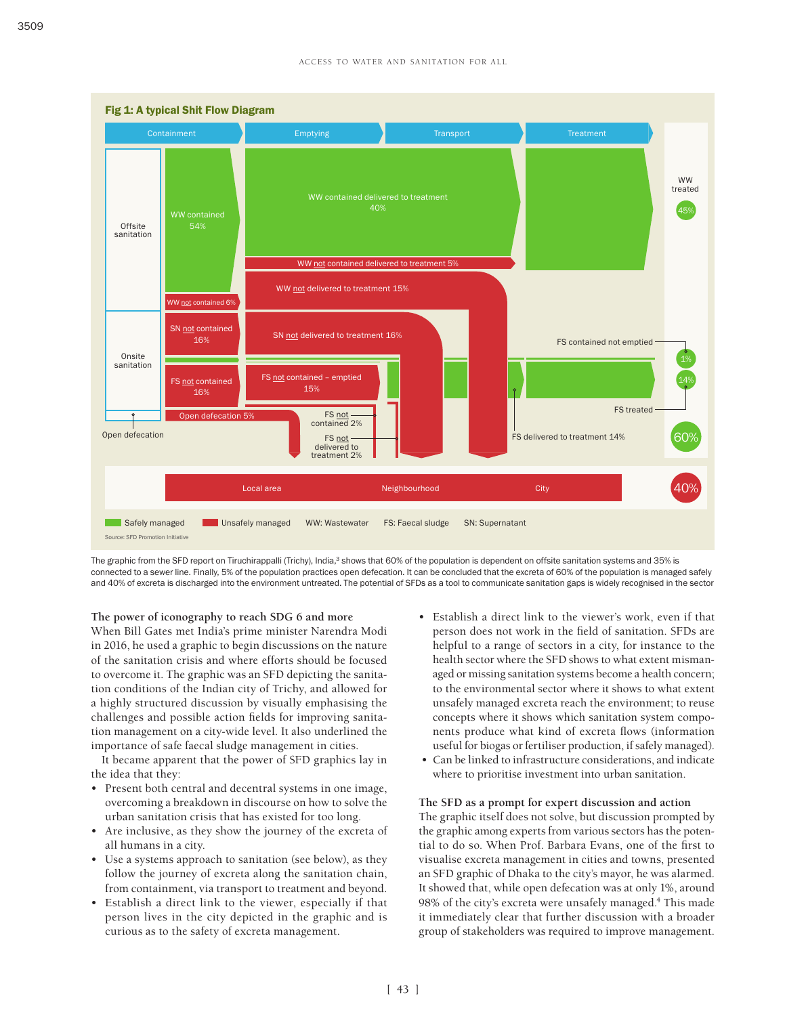

The graphic from the SFD report on Tiruchirappalli (Trichy), India,<sup>3</sup> shows that 60% of the population is dependent on offsite sanitation systems and 35% is connected to a sewer line. Finally, 5% of the population practices open defecation. It can be concluded that the excreta of 60% of the population is managed safely and 40% of excreta is discharged into the environment untreated. The potential of SFDs as a tool to communicate sanitation gaps is widely recognised in the sector

### **The power of iconography to reach SDG 6 and more**

When Bill Gates met India's prime minister Narendra Modi in 2016, he used a graphic to begin discussions on the nature of the sanitation crisis and where efforts should be focused to overcome it. The graphic was an SFD depicting the sanitation conditions of the Indian city of Trichy, and allowed for a highly structured discussion by visually emphasising the challenges and possible action fields for improving sanitation management on a city-wide level. It also underlined the importance of safe faecal sludge management in cities.

It became apparent that the power of SFD graphics lay in the idea that they:

- Present both central and decentral systems in one image, overcoming a breakdown in discourse on how to solve the urban sanitation crisis that has existed for too long.
- Are inclusive, as they show the journey of the excreta of all humans in a city.
- Use a systems approach to sanitation (see below), as they follow the journey of excreta along the sanitation chain, from containment, via transport to treatment and beyond.
- Establish a direct link to the viewer, especially if that person lives in the city depicted in the graphic and is curious as to the safety of excreta management.
- Establish a direct link to the viewer's work, even if that person does not work in the field of sanitation. SFDs are helpful to a range of sectors in a city, for instance to the health sector where the SFD shows to what extent mismanaged or missing sanitation systems become a health concern; to the environmental sector where it shows to what extent unsafely managed excreta reach the environment; to reuse concepts where it shows which sanitation system components produce what kind of excreta flows (information useful for biogas or fertiliser production, if safely managed).
- Can be linked to infrastructure considerations, and indicate where to prioritise investment into urban sanitation.

#### **The SFD as a prompt for expert discussion and action**

The graphic itself does not solve, but discussion prompted by the graphic among experts from various sectors has the potential to do so. When Prof. Barbara Evans, one of the first to visualise excreta management in cities and towns, presented an SFD graphic of Dhaka to the city's mayor, he was alarmed. It showed that, while open defecation was at only 1%, around 98% of the city's excreta were unsafely managed.4 This made it immediately clear that further discussion with a broader group of stakeholders was required to improve management.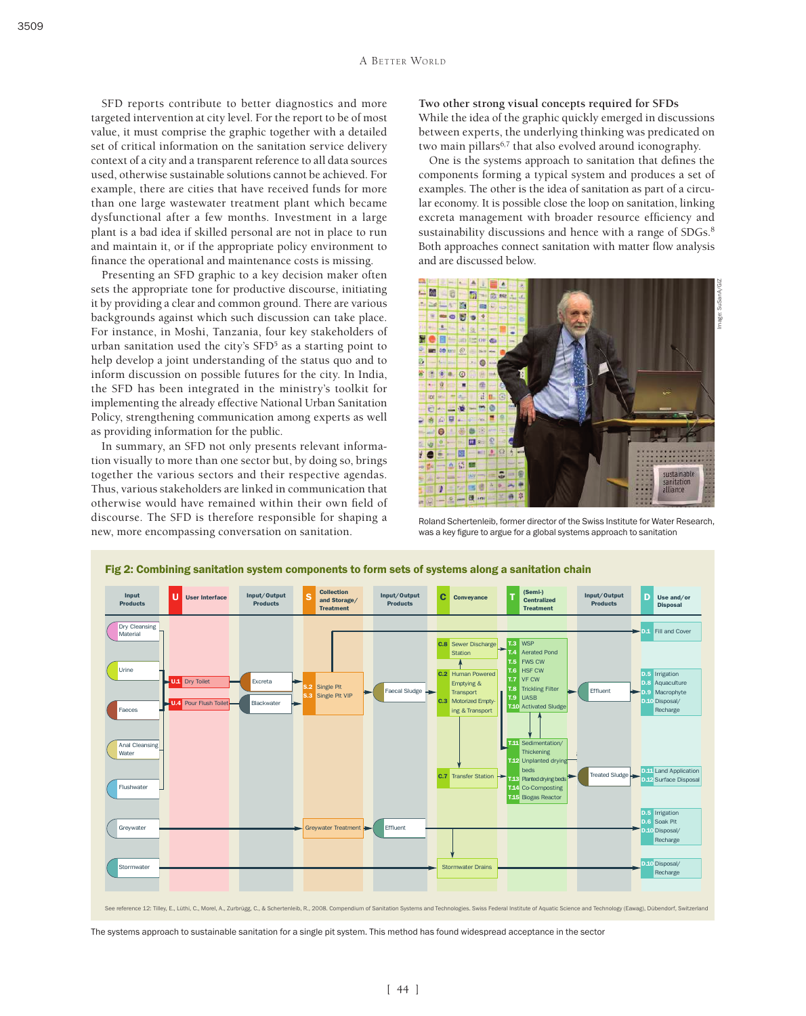SFD reports contribute to better diagnostics and more targeted intervention at city level. For the report to be of most value, it must comprise the graphic together with a detailed set of critical information on the sanitation service delivery context of a city and a transparent reference to all data sources used, otherwise sustainable solutions cannot be achieved. For example, there are cities that have received funds for more than one large wastewater treatment plant which became dysfunctional after a few months. Investment in a large plant is a bad idea if skilled personal are not in place to run and maintain it, or if the appropriate policy environment to finance the operational and maintenance costs is missing.

Presenting an SFD graphic to a key decision maker often sets the appropriate tone for productive discourse, initiating it by providing a clear and common ground. There are various backgrounds against which such discussion can take place. For instance, in Moshi, Tanzania, four key stakeholders of urban sanitation used the city's SFD<sup>5</sup> as a starting point to help develop a joint understanding of the status quo and to inform discussion on possible futures for the city. In India, the SFD has been integrated in the ministry's toolkit for implementing the already effective National Urban Sanitation Policy, strengthening communication among experts as well as providing information for the public.

In summary, an SFD not only presents relevant information visually to more than one sector but, by doing so, brings together the various sectors and their respective agendas. Thus, various stakeholders are linked in communication that otherwise would have remained within their own field of discourse. The SFD is therefore responsible for shaping a new, more encompassing conversation on sanitation.

**Two other strong visual concepts required for SFDs** While the idea of the graphic quickly emerged in discussions between experts, the underlying thinking was predicated on two main pillars<sup>6,7</sup> that also evolved around iconography.

One is the systems approach to sanitation that defines the components forming a typical system and produces a set of examples. The other is the idea of sanitation as part of a circular economy. It is possible close the loop on sanitation, linking excreta management with broader resource efficiency and sustainability discussions and hence with a range of SDGs.<sup>8</sup> Both approaches connect sanitation with matter flow analysis and are discussed below.



Roland Schertenleib, former director of the Swiss Institute for Water Research, was a key figure to argue for a global systems approach to sanitation



The systems approach to sustainable sanitation for a single pit system. This method has found widespread acceptance in the sector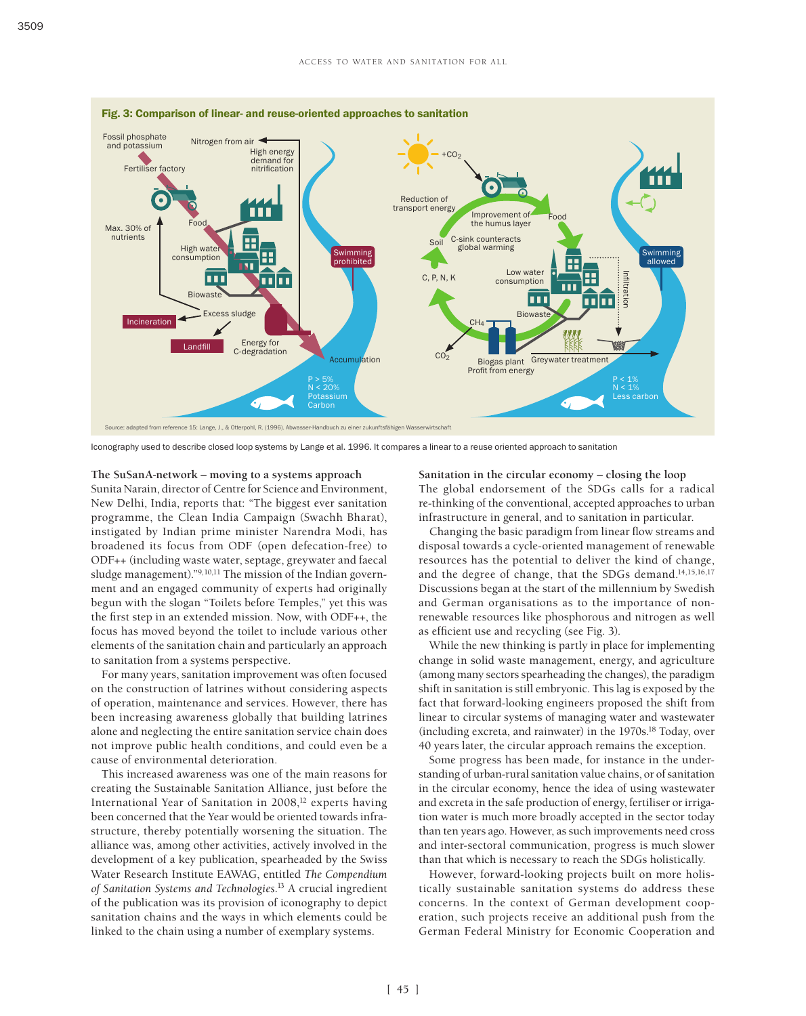

Iconography used to describe closed loop systems by Lange et al. 1996. It compares a linear to a reuse oriented approach to sanitation

#### **The SuSanA-network – moving to a systems approach**

Sunita Narain, director of Centre for Science and Environment, New Delhi, India, reports that: "The biggest ever sanitation programme, the Clean India Campaign (Swachh Bharat), instigated by Indian prime minister Narendra Modi, has broadened its focus from ODF (open defecation-free) to ODF++ (including waste water, septage, greywater and faecal sludge management)."9,10,11 The mission of the Indian government and an engaged community of experts had originally begun with the slogan "Toilets before Temples," yet this was the first step in an extended mission. Now, with ODF++, the focus has moved beyond the toilet to include various other elements of the sanitation chain and particularly an approach to sanitation from a systems perspective.

For many years, sanitation improvement was often focused on the construction of latrines without considering aspects of operation, maintenance and services. However, there has been increasing awareness globally that building latrines alone and neglecting the entire sanitation service chain does not improve public health conditions, and could even be a cause of environmental deterioration.

This increased awareness was one of the main reasons for creating the Sustainable Sanitation Alliance, just before the International Year of Sanitation in 2008,<sup>12</sup> experts having been concerned that the Year would be oriented towards infrastructure, thereby potentially worsening the situation. The alliance was, among other activities, actively involved in the development of a key publication, spearheaded by the Swiss Water Research Institute EAWAG, entitled *The Compendium of Sanitation Systems and Technologies*. 13 A crucial ingredient of the publication was its provision of iconography to depict sanitation chains and the ways in which elements could be linked to the chain using a number of exemplary systems.

**Sanitation in the circular economy – closing the loop** The global endorsement of the SDGs calls for a radical re-thinking of the conventional, accepted approaches to urban infrastructure in general, and to sanitation in particular.

Changing the basic paradigm from linear flow streams and disposal towards a cycle-oriented management of renewable resources has the potential to deliver the kind of change, and the degree of change, that the SDGs demand.<sup>14,15,16,17</sup> Discussions began at the start of the millennium by Swedish and German organisations as to the importance of nonrenewable resources like phosphorous and nitrogen as well as efficient use and recycling (see Fig. 3).

While the new thinking is partly in place for implementing change in solid waste management, energy, and agriculture (among many sectors spearheading the changes), the paradigm shift in sanitation is still embryonic. This lag is exposed by the fact that forward-looking engineers proposed the shift from linear to circular systems of managing water and wastewater (including excreta, and rainwater) in the 1970s.18 Today, over 40 years later, the circular approach remains the exception.

Some progress has been made, for instance in the understanding of urban-rural sanitation value chains, or of sanitation in the circular economy, hence the idea of using wastewater and excreta in the safe production of energy, fertiliser or irrigation water is much more broadly accepted in the sector today than ten years ago. However, as such improvements need cross and inter-sectoral communication, progress is much slower than that which is necessary to reach the SDGs holistically.

However, forward-looking projects built on more holistically sustainable sanitation systems do address these concerns. In the context of German development cooperation, such projects receive an additional push from the German Federal Ministry for Economic Cooperation and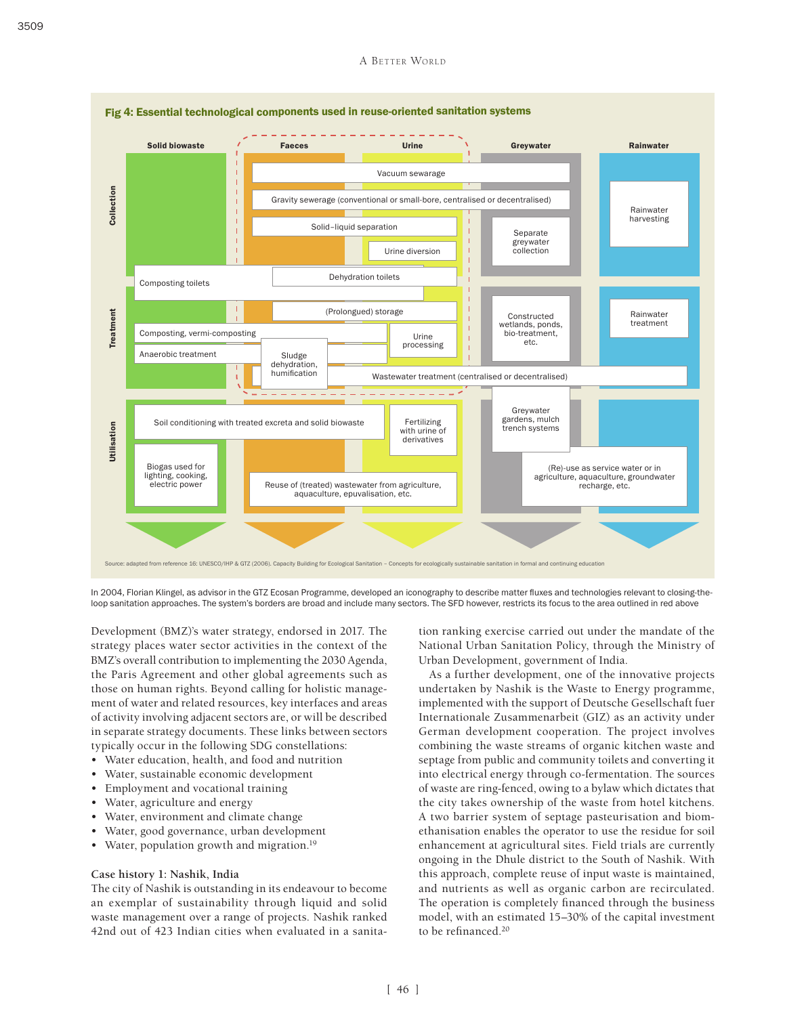

In 2004, Florian Klingel, as advisor in the GTZ Ecosan Programme, developed an iconography to describe matter fluxes and technologies relevant to closing-theloop sanitation approaches. The system's borders are broad and include many sectors. The SFD however, restricts its focus to the area outlined in red above

Development (BMZ)'s water strategy, endorsed in 2017. The strategy places water sector activities in the context of the BMZ's overall contribution to implementing the 2030 Agenda, the Paris Agreement and other global agreements such as those on human rights. Beyond calling for holistic management of water and related resources, key interfaces and areas of activity involving adjacent sectors are, or will be described in separate strategy documents. These links between sectors typically occur in the following SDG constellations:

- Water education, health, and food and nutrition
- Water, sustainable economic development
- Employment and vocational training
- Water, agriculture and energy
- Water, environment and climate change
- Water, good governance, urban development
- Water, population growth and migration.<sup>19</sup>

### **Case history 1: Nashik, India**

The city of Nashik is outstanding in its endeavour to become an exemplar of sustainability through liquid and solid waste management over a range of projects. Nashik ranked 42nd out of 423 Indian cities when evaluated in a sanitation ranking exercise carried out under the mandate of the National Urban Sanitation Policy, through the Ministry of Urban Development, government of India.

As a further development, one of the innovative projects undertaken by Nashik is the Waste to Energy programme, implemented with the support of Deutsche Gesellschaft fuer Internationale Zusammenarbeit (GIZ) as an activity under German development cooperation. The project involves combining the waste streams of organic kitchen waste and septage from public and community toilets and converting it into electrical energy through co-fermentation. The sources of waste are ring-fenced, owing to a bylaw which dictates that the city takes ownership of the waste from hotel kitchens. A two barrier system of septage pasteurisation and biomethanisation enables the operator to use the residue for soil enhancement at agricultural sites. Field trials are currently ongoing in the Dhule district to the South of Nashik. With this approach, complete reuse of input waste is maintained, and nutrients as well as organic carbon are recirculated. The operation is completely financed through the business model, with an estimated 15–30% of the capital investment to be refinanced.20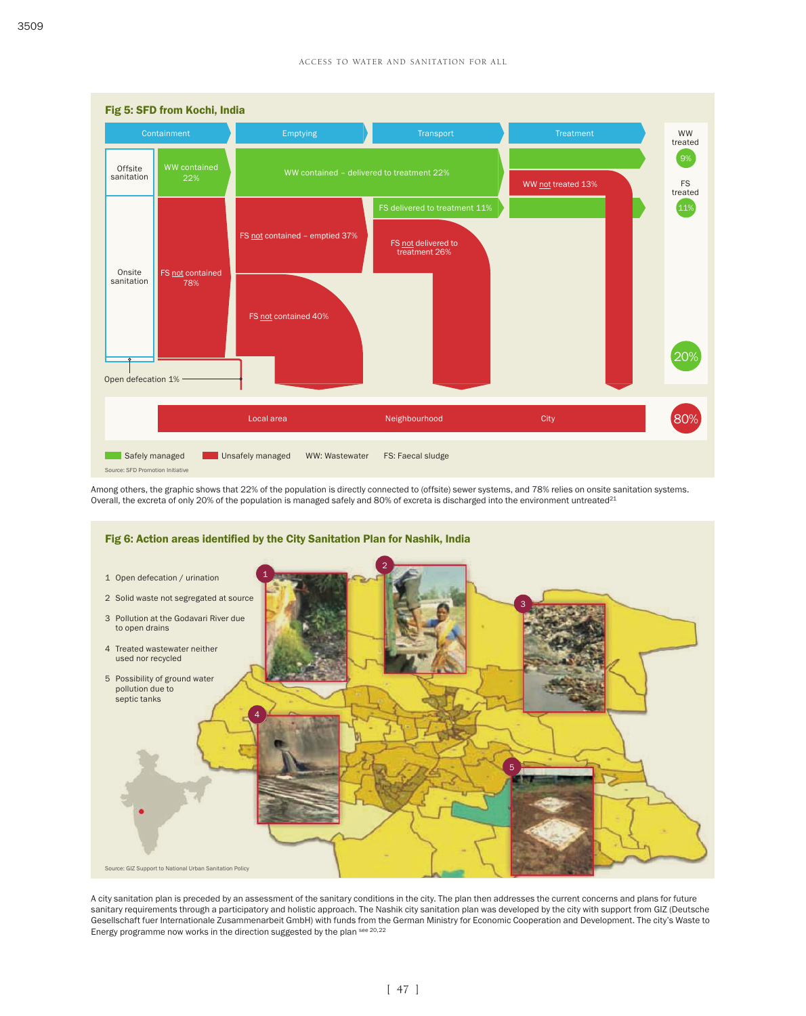

Among others, the graphic shows that 22% of the population is directly connected to (offsite) sewer systems, and 78% relies on onsite sanitation systems. Overall, the excreta of only 20% of the population is managed safely and 80% of excreta is discharged into the environment untreated<sup>21</sup>



A city sanitation plan is preceded by an assessment of the sanitary conditions in the city. The plan then addresses the current concerns and plans for future sanitary requirements through a participatory and holistic approach. The Nashik city sanitation plan was developed by the city with support from GIZ (Deutsche Gesellschaft fuer Internationale Zusammenarbeit GmbH) with funds from the German Ministry for Economic Cooperation and Development. The city's Waste to Energy programme now works in the direction suggested by the plan see 20,22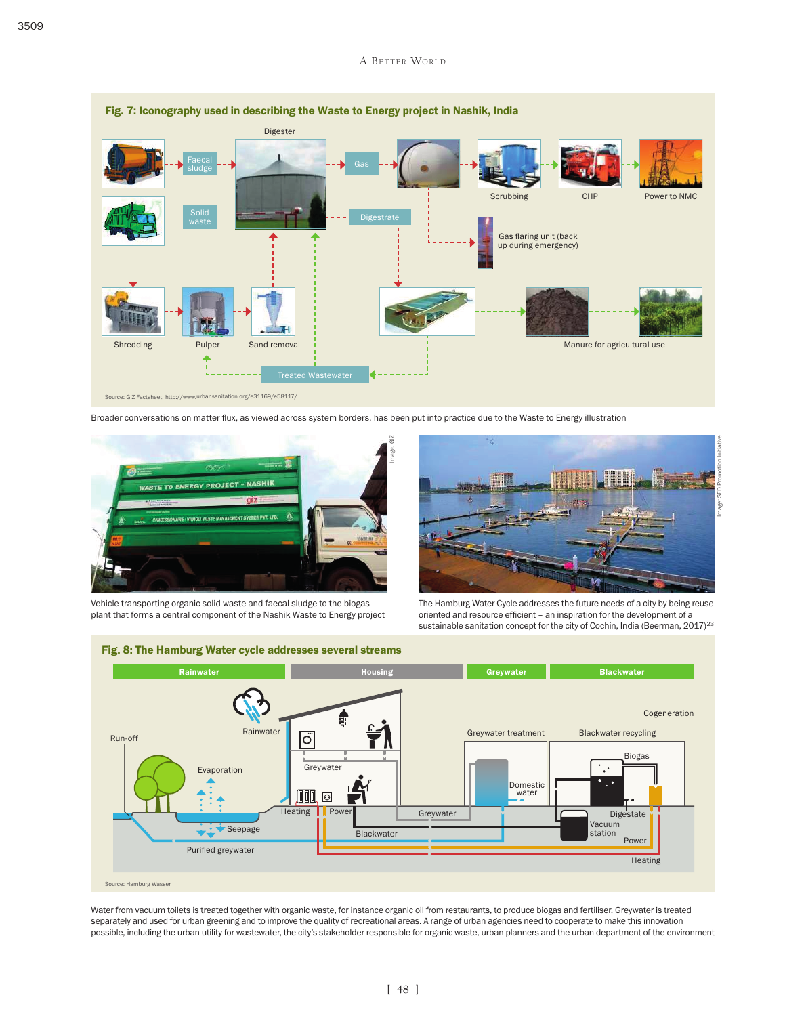

Broader conversations on matter flux, as viewed across system borders, has been put into practice due to the Waste to Energy illustration



Vehicle transporting organic solid waste and faecal sludge to the biogas plant that forms a central component of the Nashik Waste to Energy project



Image: SFD Promotion Initiative

The Hamburg Water Cycle addresses the future needs of a city by being reuse oriented and resource efficient – an inspiration for the development of a sustainable sanitation concept for the city of Cochin, India (Beerman, 2017)<sup>23</sup>



Fig. 8: The Hamburg Water cycle addresses several streams

Water from vacuum toilets is treated together with organic waste, for instance organic oil from restaurants, to produce biogas and fertiliser. Greywater is treated separately and used for urban greening and to improve the quality of recreational areas. A range of urban agencies need to cooperate to make this innovation possible, including the urban utility for wastewater, the city's stakeholder responsible for organic waste, urban planners and the urban department of the environment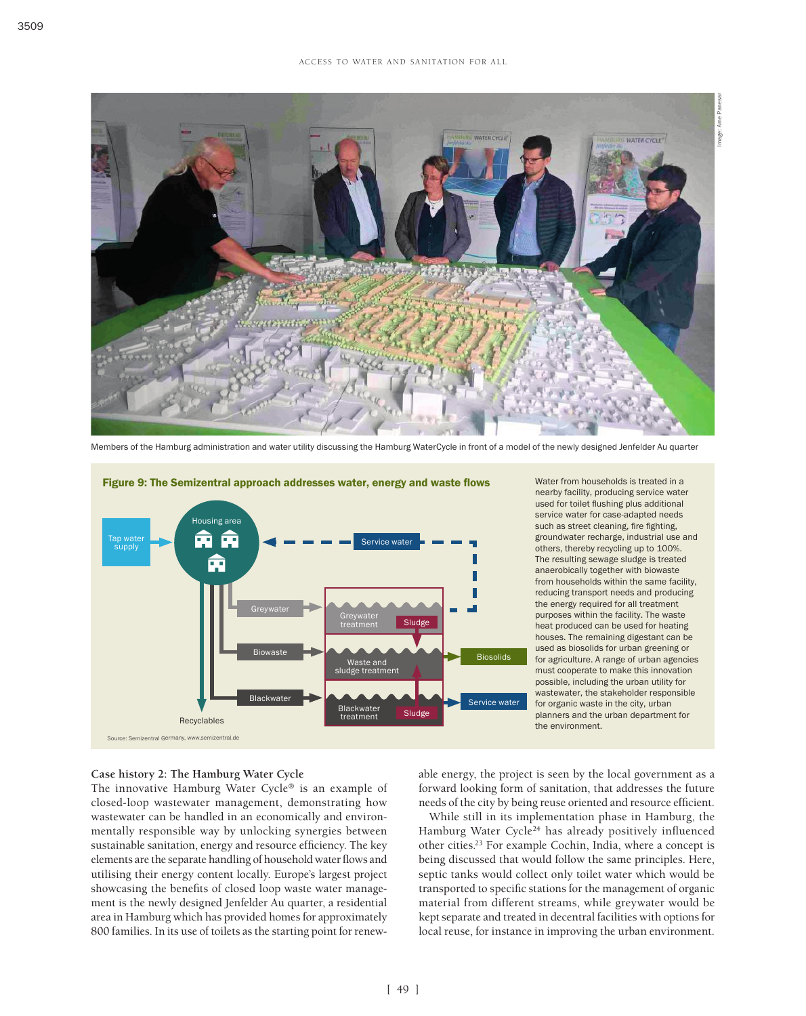

Members of the Hamburg administration and water utility discussing the Hamburg WaterCycle in front of a model of the newly designed Jenfelder Au quarter



Figure 9: The Semizentral approach addresses water, energy and waste flows

Water from households is treated in a nearby facility, producing service water used for toilet flushing plus additional service water for case-adapted needs such as street cleaning, fire fighting, groundwater recharge, industrial use and others, thereby recycling up to 100%. The resulting sewage sludge is treated anaerobically together with biowaste from households within the same facility, reducing transport needs and producing the energy required for all treatment purposes within the facility. The waste heat produced can be used for heating houses. The remaining digestant can be used as biosolids for urban greening or for agriculture. A range of urban agencies must cooperate to make this innovation possible, including the urban utility for wastewater, the stakeholder responsible for organic waste in the city, urban planners and the urban department for the environment.

#### **Case history 2: The Hamburg Water Cycle**

The innovative Hamburg Water Cycle® is an example of closed-loop wastewater management, demonstrating how wastewater can be handled in an economically and environmentally responsible way by unlocking synergies between sustainable sanitation, energy and resource efficiency. The key elements are the separate handling of household water flows and utilising their energy content locally. Europe's largest project showcasing the benefits of closed loop waste water management is the newly designed Jenfelder Au quarter, a residential area in Hamburg which has provided homes for approximately 800 families. In its use of toilets as the starting point for renewable energy, the project is seen by the local government as a forward looking form of sanitation, that addresses the future needs of the city by being reuse oriented and resource efficient.

While still in its implementation phase in Hamburg, the Hamburg Water Cycle<sup>24</sup> has already positively influenced other cities.23 For example Cochin, India, where a concept is being discussed that would follow the same principles. Here, septic tanks would collect only toilet water which would be transported to specific stations for the management of organic material from different streams, while greywater would be kept separate and treated in decentral facilities with options for local reuse, for instance in improving the urban environment.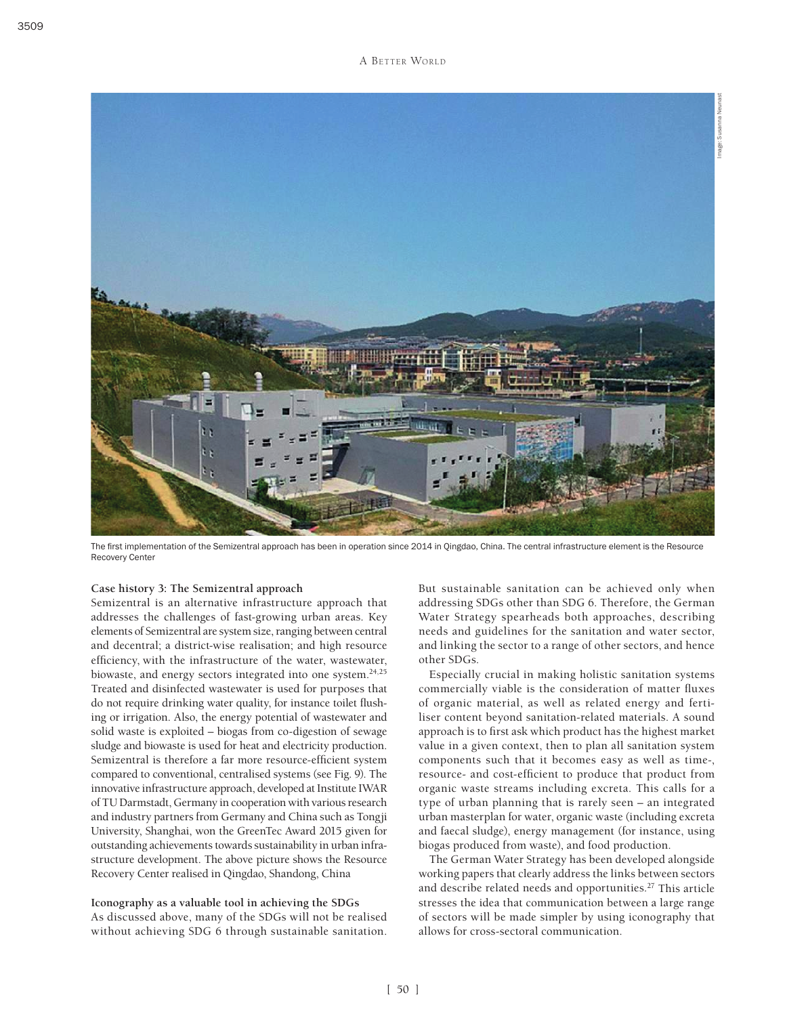

The first implementation of the Semizentral approach has been in operation since 2014 in Qingdao, China. The central infrastructure element is the Resource Recovery Center

## **Case history 3: The Semizentral approach**

Semizentral is an alternative infrastructure approach that addresses the challenges of fast-growing urban areas. Key elements of Semizentral are system size, ranging between central and decentral; a district-wise realisation; and high resource efficiency, with the infrastructure of the water, wastewater, biowaste, and energy sectors integrated into one system.<sup>24,25</sup> Treated and disinfected wastewater is used for purposes that do not require drinking water quality, for instance toilet flushing or irrigation. Also, the energy potential of wastewater and solid waste is exploited – biogas from co-digestion of sewage sludge and biowaste is used for heat and electricity production. Semizentral is therefore a far more resource-efficient system compared to conventional, centralised systems (see Fig. 9). The innovative infrastructure approach, developed at Institute IWAR of TU Darmstadt, Germany in cooperation with various research and industry partners from Germany and China such as Tongji University, Shanghai, won the GreenTec Award 2015 given for outstanding achievements towards sustainability in urban infrastructure development. The above picture shows the Resource Recovery Center realised in Qingdao, Shandong, China

**Iconography as a valuable tool in achieving the SDGs** As discussed above, many of the SDGs will not be realised without achieving SDG 6 through sustainable sanitation. But sustainable sanitation can be achieved only when addressing SDGs other than SDG 6. Therefore, the German Water Strategy spearheads both approaches, describing needs and guidelines for the sanitation and water sector, and linking the sector to a range of other sectors, and hence other SDGs.

Especially crucial in making holistic sanitation systems commercially viable is the consideration of matter fluxes of organic material, as well as related energy and fertiliser content beyond sanitation-related materials. A sound approach is to first ask which product has the highest market value in a given context, then to plan all sanitation system components such that it becomes easy as well as time-, resource- and cost-efficient to produce that product from organic waste streams including excreta. This calls for a type of urban planning that is rarely seen – an integrated urban masterplan for water, organic waste (including excreta and faecal sludge), energy management (for instance, using biogas produced from waste), and food production.

The German Water Strategy has been developed alongside working papers that clearly address the links between sectors and describe related needs and opportunities.27 This article stresses the idea that communication between a large range of sectors will be made simpler by using iconography that allows for cross-sectoral communication.